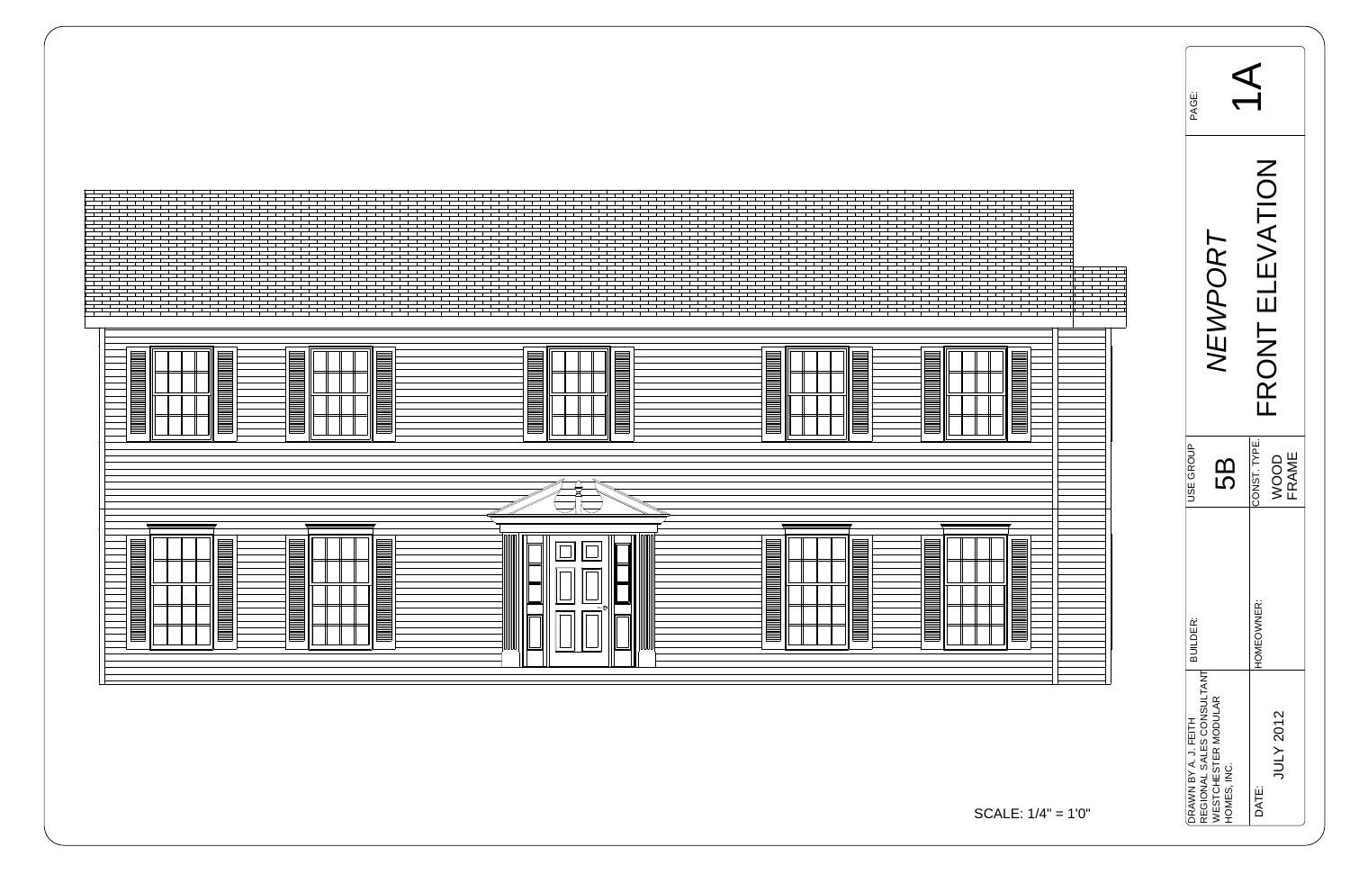$\Box$  $\Box$  $\blacksquare$  $\overline{\mathbb{F}}$  $\Box$ 





$$
ALE: 1/4" = 1'0"
$$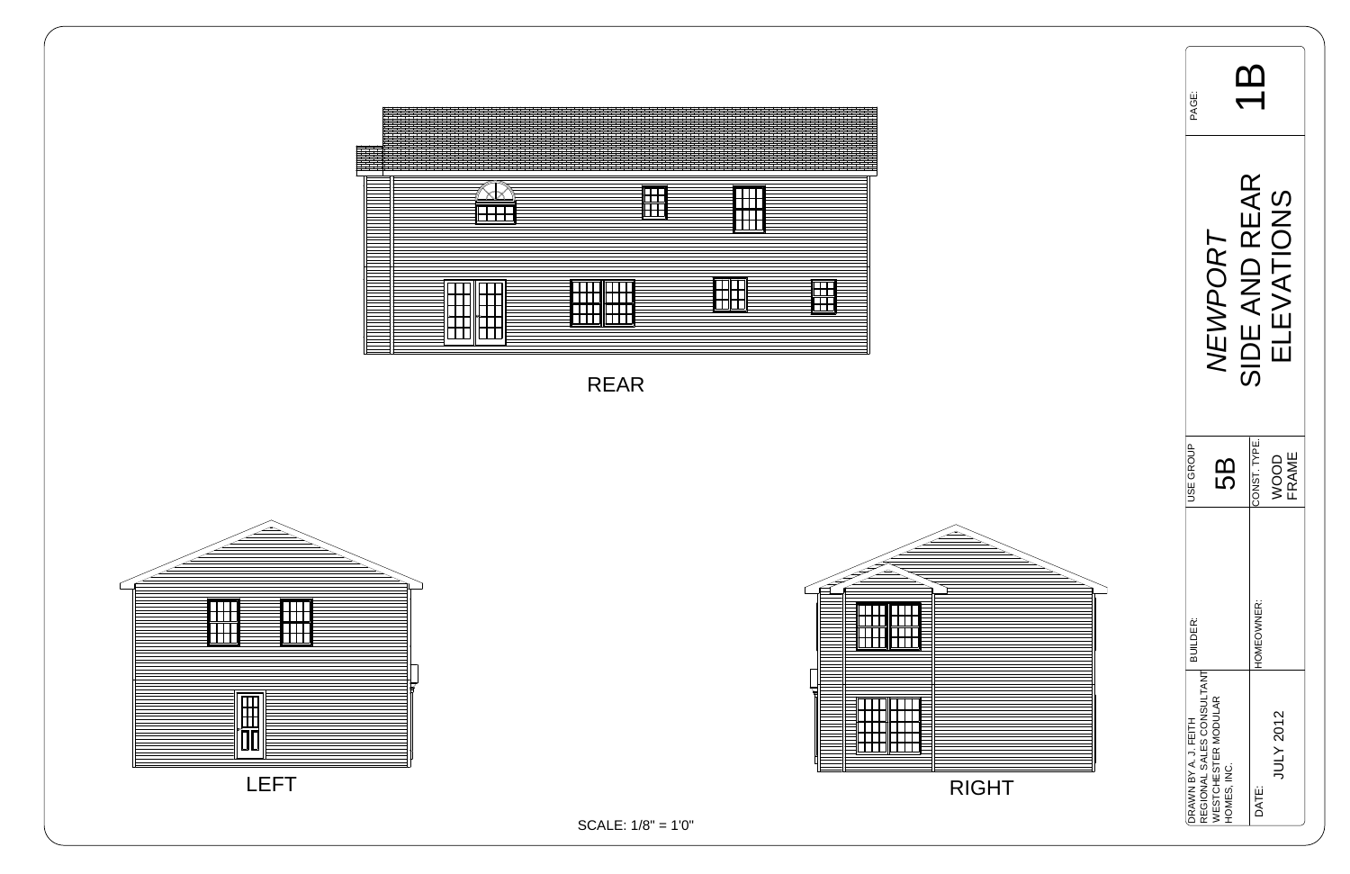| <b>BDKc</b>                                                          |                                                  |                                            |  |
|----------------------------------------------------------------------|--------------------------------------------------|--------------------------------------------|--|
|                                                                      | <b>IEWPORT</b>                                   | SIDE AND REAR<br><b>EVATIONS</b>           |  |
| JSE GROUP                                                            | <u>ကြ</u>                                        | CONST. TYPE.<br><b>FRAME</b><br><b>OOO</b> |  |
| <b>BUILDER:</b><br>REGIONAL SALES CONSULTANT<br>DRAWN BY A. J. FEITH | <b><i>NESTCHESTER MODULAR</i></b><br>HOMES, INC. | <b>HOMEOWNER:</b><br>JULY 2012<br>DATE:    |  |







SCALE: 1/8" = 1'0"

RIGHT



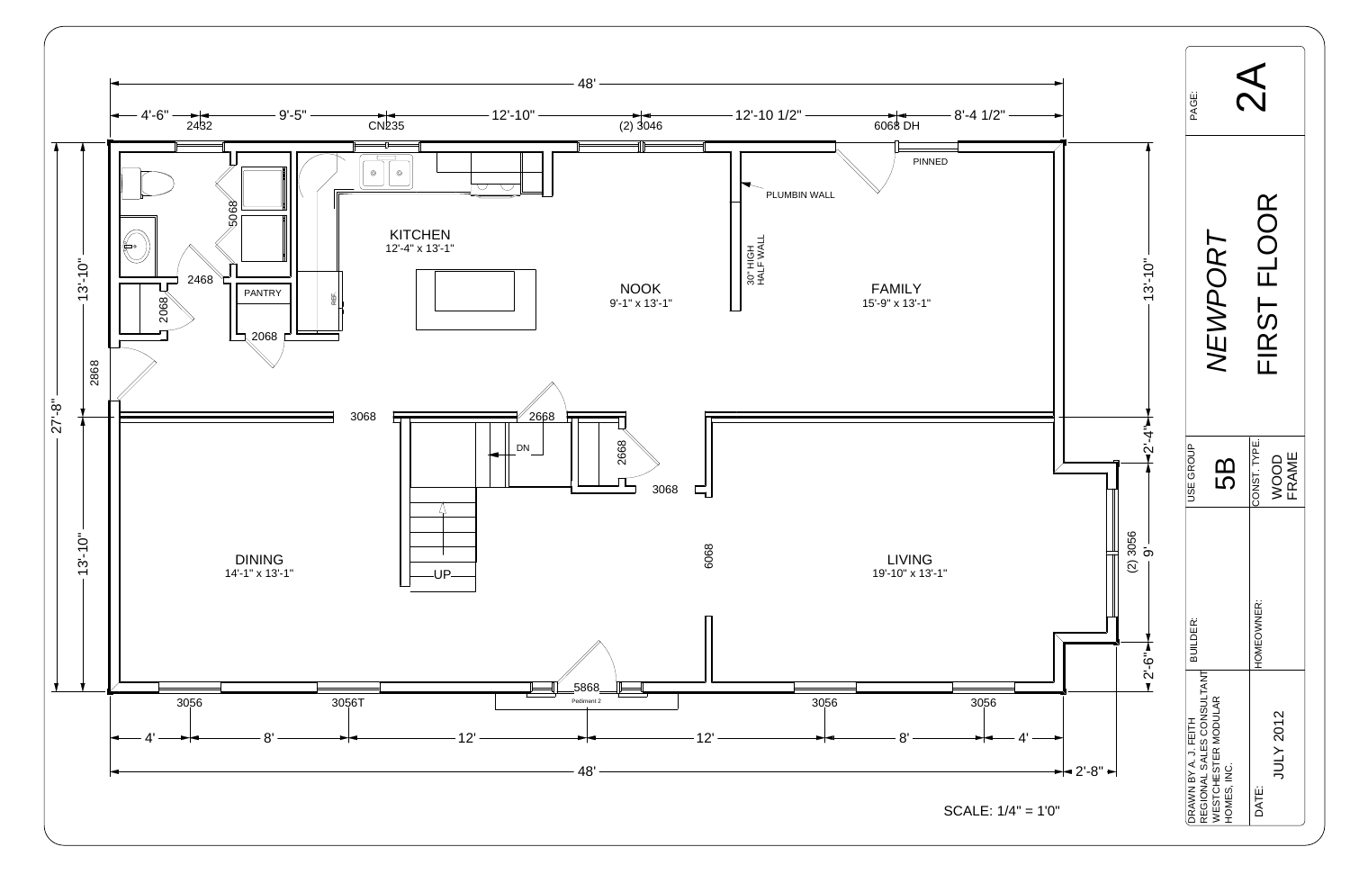